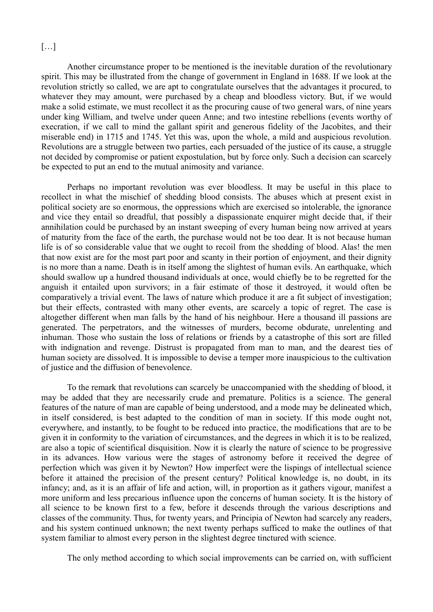## […]

Another circumstance proper to be mentioned is the inevitable duration of the revolutionary spirit. This may be illustrated from the change of government in England in 1688. If we look at the revolution strictly so called, we are apt to congratulate ourselves that the advantages it procured, to whatever they may amount, were purchased by a cheap and bloodless victory. But, if we would make a solid estimate, we must recollect it as the procuring cause of two general wars, of nine years under king William, and twelve under queen Anne; and two intestine rebellions (events worthy of execration, if we call to mind the gallant spirit and generous fidelity of the Jacobites, and their miserable end) in 1715 and 1745. Yet this was, upon the whole, a mild and auspicious revolution. Revolutions are a struggle between two parties, each persuaded of the justice of its cause, a struggle not decided by compromise or patient expostulation, but by force only. Such a decision can scarcely be expected to put an end to the mutual animosity and variance.

Perhaps no important revolution was ever bloodless. It may be useful in this place to recollect in what the mischief of shedding blood consists. The abuses which at present exist in political society are so enormous, the oppressions which are exercised so intolerable, the ignorance and vice they entail so dreadful, that possibly a dispassionate enquirer might decide that, if their annihilation could be purchased by an instant sweeping of every human being now arrived at years of maturity from the face of the earth, the purchase would not be too dear. It is not because human life is of so considerable value that we ought to recoil from the shedding of blood. Alas! the men that now exist are for the most part poor and scanty in their portion of enjoyment, and their dignity is no more than a name. Death is in itself among the slightest of human evils. An earthquake, which should swallow up a hundred thousand individuals at once, would chiefly be to be regretted for the anguish it entailed upon survivors; in a fair estimate of those it destroyed, it would often be comparatively a trivial event. The laws of nature which produce it are a fit subject of investigation; but their effects, contrasted with many other events, are scarcely a topic of regret. The case is altogether different when man falls by the hand of his neighbour. Here a thousand ill passions are generated. The perpetrators, and the witnesses of murders, become obdurate, unrelenting and inhuman. Those who sustain the loss of relations or friends by a catastrophe of this sort are filled with indignation and revenge. Distrust is propagated from man to man, and the dearest ties of human society are dissolved. It is impossible to devise a temper more inauspicious to the cultivation of justice and the diffusion of benevolence.

To the remark that revolutions can scarcely be unaccompanied with the shedding of blood, it may be added that they are necessarily crude and premature. Politics is a science. The general features of the nature of man are capable of being understood, and a mode may be delineated which, in itself considered, is best adapted to the condition of man in society. If this mode ought not, everywhere, and instantly, to be fought to be reduced into practice, the modifications that are to be given it in conformity to the variation of circumstances, and the degrees in which it is to be realized, are also a topic of scientifical disquisition. Now it is clearly the nature of science to be progressive in its advances. How various were the stages of astronomy before it received the degree of perfection which was given it by Newton? How imperfect were the lispings of intellectual science before it attained the precision of the present century? Political knowledge is, no doubt, in its infancy; and, as it is an affair of life and action, will, in proportion as it gathers vigour, manifest a more uniform and less precarious influence upon the concerns of human society. It is the history of all science to be known first to a few, before it descends through the various descriptions and classes of the community. Thus, for twenty years, and Principia of Newton had scarcely any readers, and his system continued unknown; the next twenty perhaps sufficed to make the outlines of that system familiar to almost every person in the slightest degree tinctured with science.

The only method according to which social improvements can be carried on, with sufficient